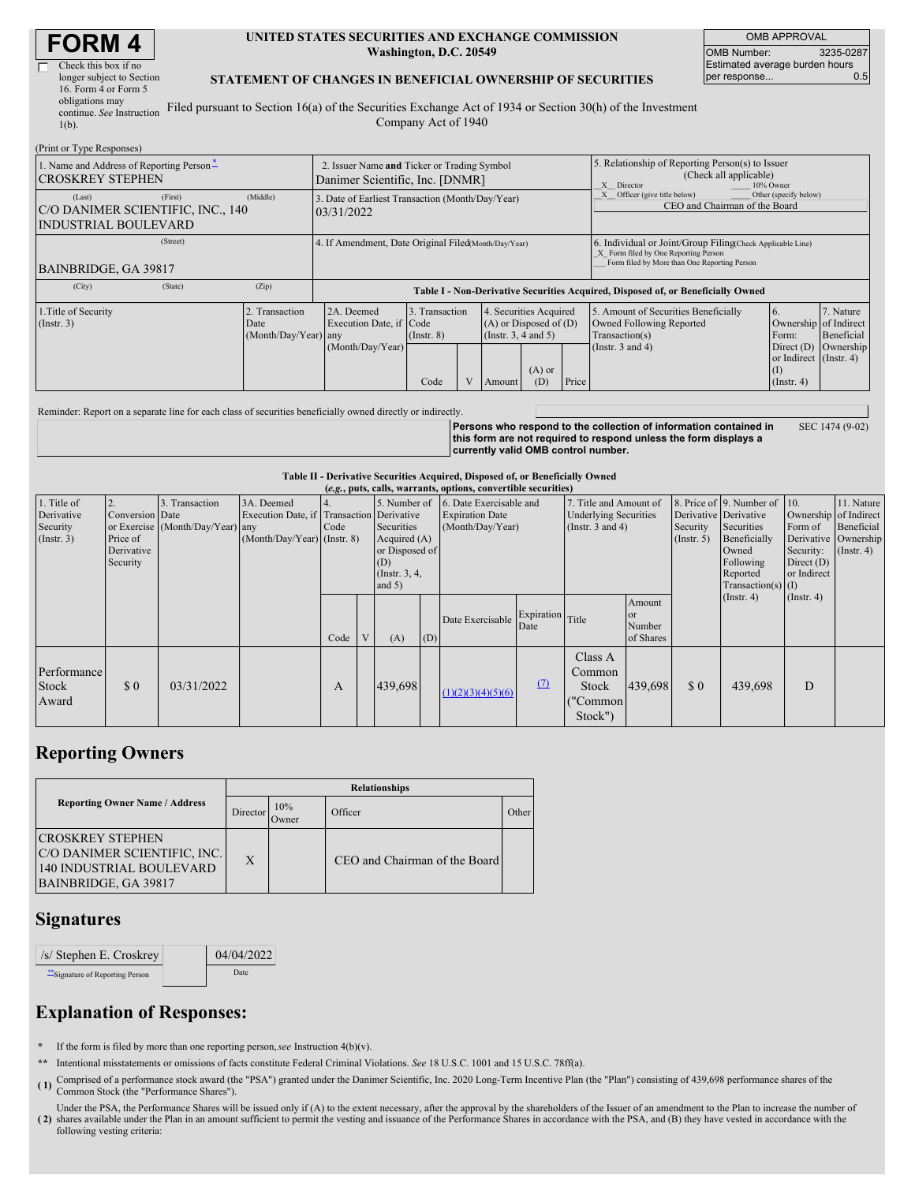| Check this box if no      |  |
|---------------------------|--|
| longer subject to Section |  |
| 16. Form 4 or Form 5      |  |
| obligations may           |  |
| continue. See Instruction |  |
| $1(b)$ .                  |  |
|                           |  |

#### **UNITED STATES SECURITIES AND EXCHANGE COMMISSION Washington, D.C. 20549**

OMB APPROVAL OMB Number: 3235-0287 Estimated average burden hours<br>per response... 0.5 per response..

#### **STATEMENT OF CHANGES IN BENEFICIAL OWNERSHIP OF SECURITIES**

Filed pursuant to Section 16(a) of the Securities Exchange Act of 1934 or Section 30(h) of the Investment Company Act of 1940

| (Print or Type Responses)                                                                  |         |                                                                                |                                                                                  |                                   |  |                                                                              |                                                                                                       |                                                                                                                                                    |                                                                                      |                                                                          |                         |
|--------------------------------------------------------------------------------------------|---------|--------------------------------------------------------------------------------|----------------------------------------------------------------------------------|-----------------------------------|--|------------------------------------------------------------------------------|-------------------------------------------------------------------------------------------------------|----------------------------------------------------------------------------------------------------------------------------------------------------|--------------------------------------------------------------------------------------|--------------------------------------------------------------------------|-------------------------|
| 1. Name and Address of Reporting Person-<br><b>CROSKREY STEPHEN</b>                        |         | 2. Issuer Name and Ticker or Trading Symbol<br>Danimer Scientific, Inc. [DNMR] |                                                                                  |                                   |  |                                                                              | 5. Relationship of Reporting Person(s) to Issuer<br>(Check all applicable)<br>X Director<br>10% Owner |                                                                                                                                                    |                                                                                      |                                                                          |                         |
| (Last)<br>C/O DANIMER SCIENTIFIC, INC., 140<br><b>INDUSTRIAL BOULEVARD</b>                 | (First) | (Middle)                                                                       | 3. Date of Earliest Transaction (Month/Day/Year)<br>03/31/2022                   |                                   |  |                                                                              |                                                                                                       |                                                                                                                                                    | Other (specify below)<br>Officer (give title below)<br>CEO and Chairman of the Board |                                                                          |                         |
| BAINBRIDGE, GA 39817                                                                       |         | 4. If Amendment, Date Original Filed Month/Day/Year)                           |                                                                                  |                                   |  |                                                                              |                                                                                                       | 6. Individual or Joint/Group Filing Check Applicable Line)<br>X Form filed by One Reporting Person<br>Form filed by More than One Reporting Person |                                                                                      |                                                                          |                         |
| (City)                                                                                     | (State) | (Zip)                                                                          | Table I - Non-Derivative Securities Acquired, Disposed of, or Beneficially Owned |                                   |  |                                                                              |                                                                                                       |                                                                                                                                                    |                                                                                      |                                                                          |                         |
| 1. Title of Security<br>2. Transaction<br>$($ Instr. 3 $)$<br>Date<br>(Month/Day/Year) any |         |                                                                                | 2A. Deemed<br>Execution Date, if Code                                            | 3. Transaction<br>$($ Instr. $8)$ |  | 4. Securities Acquired<br>$(A)$ or Disposed of $(D)$<br>(Insert. 3, 4 and 5) |                                                                                                       |                                                                                                                                                    | 5. Amount of Securities Beneficially<br>Owned Following Reported<br>Transaction(s)   | 6.<br>Ownership of Indirect<br>Form:                                     | 7. Nature<br>Beneficial |
|                                                                                            |         |                                                                                | (Month/Day/Year)                                                                 | Code                              |  | Amount                                                                       | $(A)$ or<br>(D)                                                                                       | Price                                                                                                                                              | (Instr. $3$ and $4$ )                                                                | Direct $(D)$ Ownership<br>or Indirect (Instr. 4)<br>(I)<br>$($ Instr. 4) |                         |

Reminder: Report on a separate line for each class of securities beneficially owned directly or indirectly.

**Persons who respond to the collection of information contained in this form are not required to respond unless the form displays a currently valid OMB control number.** SEC 1474 (9-02)

**Table II - Derivative Securities Acquired, Disposed of, or Beneficially Owned**

| (e.g., puts, calls, warrants, options, convertible securities) |                                                       |                                                    |                                                                                          |      |                |                                                                                      |     |                                                                                     |                          |                                                                                 |                                                |                                                       |                                                                                                                      |                                                                                                      |                                           |
|----------------------------------------------------------------|-------------------------------------------------------|----------------------------------------------------|------------------------------------------------------------------------------------------|------|----------------|--------------------------------------------------------------------------------------|-----|-------------------------------------------------------------------------------------|--------------------------|---------------------------------------------------------------------------------|------------------------------------------------|-------------------------------------------------------|----------------------------------------------------------------------------------------------------------------------|------------------------------------------------------------------------------------------------------|-------------------------------------------|
| 1. Title of<br>Derivative<br>Security<br>$($ Instr. 3 $)$      | Conversion Date<br>Price of<br>Derivative<br>Security | 3. Transaction<br>or Exercise (Month/Day/Year) any | 3A. Deemed<br>Execution Date, if Transaction Derivative<br>$(Month/Day/Year)$ (Instr. 8) | Code |                | Securities<br>Acquired (A)<br>or Disposed of<br>(D)<br>(Instr. $3, 4,$ )<br>and $5)$ |     | 5. Number of 16. Date Exercisable and<br><b>Expiration Date</b><br>(Month/Day/Year) |                          | 7. Title and Amount of<br><b>Underlying Securities</b><br>(Instr. $3$ and $4$ ) |                                                | Derivative Derivative<br>Security<br>$($ Instr. 5 $)$ | 8. Price of 9. Number of 10.<br>Securities<br>Beneficially<br>Owned<br>Following<br>Reported<br>$Transaction(s)$ (I) | Ownership of Indirect<br>Form of<br>Derivative Ownership<br>Security:<br>Direct $(D)$<br>or Indirect | 11. Nature<br>Beneficial<br>$($ Instr. 4) |
|                                                                |                                                       |                                                    |                                                                                          | Code | $\overline{V}$ | (A)                                                                                  | (D) | Date Exercisable                                                                    | Expiration Title<br>Date |                                                                                 | Amount<br><sub>or</sub><br>Number<br>of Shares |                                                       | $($ Instr. 4 $)$                                                                                                     | $($ Instr. 4 $)$                                                                                     |                                           |
| Performance<br><b>Stock</b><br>Award                           | \$0                                                   | 03/31/2022                                         |                                                                                          | A    |                | 439,698                                                                              |     | (1)(2)(3)(4)(5)(6)                                                                  | (7)                      | Class A<br>Common<br>Stock<br>("Common<br>Stock")                               | 439,698                                        | \$0                                                   | 439,698                                                                                                              | D                                                                                                    |                                           |

## **Reporting Owners**

|                                                                                                              | <b>Relationships</b> |               |                               |       |  |  |  |  |
|--------------------------------------------------------------------------------------------------------------|----------------------|---------------|-------------------------------|-------|--|--|--|--|
| <b>Reporting Owner Name / Address</b>                                                                        | Director             | 10%<br>Dwner) | Officer                       | Other |  |  |  |  |
| <b>ICROSKREY STEPHEN</b><br>C/O DANIMER SCIENTIFIC, INC.<br>140 INDUSTRIAL BOULEVARD<br>BAINBRIDGE, GA 39817 | X                    |               | CEO and Chairman of the Board |       |  |  |  |  |

### **Signatures**

| /s/ Stephen E. Croskrey          | 04/04/2022 |
|----------------------------------|------------|
| ** Signature of Reporting Person | Date       |

# **Explanation of Responses:**

- **\*** If the form is filed by more than one reporting person,*see* Instruction 4(b)(v).
- **\*\*** Intentional misstatements or omissions of facts constitute Federal Criminal Violations. *See* 18 U.S.C. 1001 and 15 U.S.C. 78ff(a).
- (1) Comprised of a performance stock award (the "PSA") granted under the Danimer Scientific, Inc. 2020 Long-Term Incentive Plan (the "Plan") consisting of 439,698 performance shares of the Compon Stock (the "Performance sh Common Stock (the "Performance Shares").
- **( 2)** shares available under the Plan in an amount sufficient to permit the vesting and issuance of the Performance Shares in accordance with the PSA, and (B) they have vested in accordance with the Under the PSA, the Performance Shares will be issued only if (A) to the extent necessary, after the approval by the shareholders of the Issuer of an amendment to the Plan to increase the number of following vesting criteria: